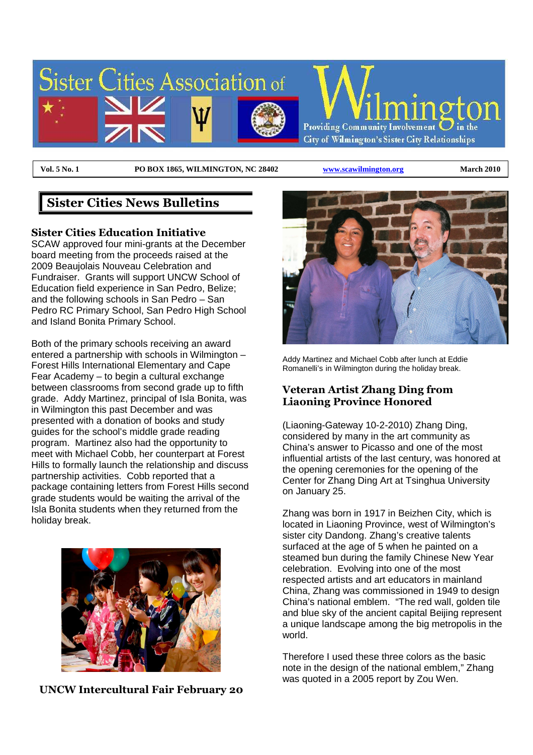

**Vol. 5 No. 1 PO BOX 1865, WILMINGTON, NC 28402 www.scawilmington.org March 2010** 

## **Sister Cities News Bulletins**

#### **Sister Cities Education Initiative**

SCAW approved four mini-grants at the December board meeting from the proceeds raised at the 2009 Beaujolais Nouveau Celebration and Fundraiser. Grants will support UNCW School of Education field experience in San Pedro, Belize; and the following schools in San Pedro – San Pedro RC Primary School, San Pedro High School and Island Bonita Primary School.

Both of the primary schools receiving an award entered a partnership with schools in Wilmington – Forest Hills International Elementary and Cape Fear Academy – to begin a cultural exchange between classrooms from second grade up to fifth grade. Addy Martinez, principal of Isla Bonita, was in Wilmington this past December and was presented with a donation of books and study guides for the school's middle grade reading program. Martinez also had the opportunity to meet with Michael Cobb, her counterpart at Forest Hills to formally launch the relationship and discuss partnership activities. Cobb reported that a package containing letters from Forest Hills second grade students would be waiting the arrival of the Isla Bonita students when they returned from the holiday break.



**UNCW Intercultural Fair February 20** 



Addy Martinez and Michael Cobb after lunch at Eddie Romanelli's in Wilmington during the holiday break.

### **Veteran Artist Zhang Ding from Liaoning Province Honored**

(Liaoning-Gateway 10-2-2010) Zhang Ding, considered by many in the art community as China's answer to Picasso and one of the most influential artists of the last century, was honored at the opening ceremonies for the opening of the Center for Zhang Ding Art at Tsinghua University on January 25.

Zhang was born in 1917 in Beizhen City, which is located in Liaoning Province, west of Wilmington's sister city Dandong. Zhang's creative talents surfaced at the age of 5 when he painted on a steamed bun during the family Chinese New Year celebration. Evolving into one of the most respected artists and art educators in mainland China, Zhang was commissioned in 1949 to design China's national emblem. "The red wall, golden tile and blue sky of the ancient capital Beijing represent a unique landscape among the big metropolis in the world.

Therefore I used these three colors as the basic note in the design of the national emblem," Zhang was quoted in a 2005 report by Zou Wen.